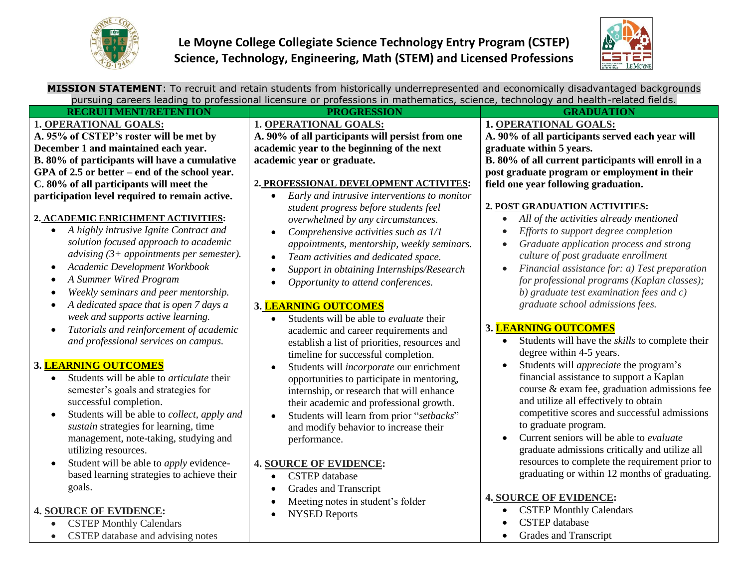



| MISSION STATEMENT: To recruit and retain students from historically underrepresented and economically disadvantaged backgrounds  |                                                                                                    |                                                                         |
|----------------------------------------------------------------------------------------------------------------------------------|----------------------------------------------------------------------------------------------------|-------------------------------------------------------------------------|
| pursuing careers leading to professional licensure or professions in mathematics, science, technology and health-related fields. |                                                                                                    |                                                                         |
| <b>RECRUITMENT/RETENTION</b>                                                                                                     | <b>PROGRESSION</b>                                                                                 | <b>GRADUATION</b>                                                       |
| 1. OPERATIONAL GOALS:                                                                                                            | <b>1. OPERATIONAL GOALS:</b>                                                                       | <b>1. OPERATIONAL GOALS:</b>                                            |
| A. 95% of CSTEP's roster will be met by                                                                                          | A. 90% of all participants will persist from one                                                   | A. 90% of all participants served each year will                        |
| December 1 and maintained each year.                                                                                             | academic year to the beginning of the next                                                         | graduate within 5 years.                                                |
| B. 80% of participants will have a cumulative                                                                                    | academic year or graduate.                                                                         | B. 80% of all current participants will enroll in a                     |
| GPA of 2.5 or better – end of the school year.                                                                                   |                                                                                                    | post graduate program or employment in their                            |
| C. 80% of all participants will meet the                                                                                         | 2. PROFESSIONAL DEVELOPMENT ACTIVITES:                                                             | field one year following graduation.                                    |
| participation level required to remain active.                                                                                   | Early and intrusive interventions to monitor<br>$\bullet$<br>student progress before students feel | 2. POST GRADUATION ACTIVITIES:                                          |
| 2. ACADEMIC ENRICHMENT ACTIVITIES:                                                                                               | overwhelmed by any circumstances.                                                                  | All of the activities already mentioned<br>$\bullet$                    |
| A highly intrusive Ignite Contract and<br>$\bullet$                                                                              | Comprehensive activities such as 1/1                                                               | Efforts to support degree completion                                    |
| solution focused approach to academic                                                                                            | appointments, mentorship, weekly seminars.                                                         | Graduate application process and strong<br>$\bullet$                    |
| advising $(3+$ appointments per semester).                                                                                       | Team activities and dedicated space.                                                               | culture of post graduate enrollment                                     |
| Academic Development Workbook                                                                                                    | Support in obtaining Internships/Research                                                          | Financial assistance for: a) Test preparation                           |
| A Summer Wired Program                                                                                                           | Opportunity to attend conferences.                                                                 | for professional programs (Kaplan classes);                             |
| Weekly seminars and peer mentorship.                                                                                             |                                                                                                    | b) graduate test examination fees and c)                                |
| A dedicated space that is open 7 days a                                                                                          | 3. LEARNING OUTCOMES                                                                               | graduate school admissions fees.                                        |
| week and supports active learning.                                                                                               | Students will be able to evaluate their<br>$\bullet$                                               |                                                                         |
| Tutorials and reinforcement of academic<br>$\bullet$                                                                             | academic and career requirements and                                                               | 3. LEARNING OUTCOMES                                                    |
| and professional services on campus.                                                                                             | establish a list of priorities, resources and                                                      | Students will have the skills to complete their<br>$\bullet$            |
|                                                                                                                                  | timeline for successful completion.                                                                | degree within 4-5 years.                                                |
| 3. <mark>LEARNING OUTCOMES</mark>                                                                                                | Students will incorporate our enrichment                                                           | Students will <i>appreciate</i> the program's<br>$\bullet$              |
| Students will be able to <i>articulate</i> their<br>$\bullet$                                                                    | opportunities to participate in mentoring,                                                         | financial assistance to support a Kaplan                                |
| semester's goals and strategies for                                                                                              | internship, or research that will enhance                                                          | course & exam fee, graduation admissions fee                            |
| successful completion.                                                                                                           | their academic and professional growth.                                                            | and utilize all effectively to obtain                                   |
| Students will be able to collect, apply and                                                                                      | Students will learn from prior "setbacks"                                                          | competitive scores and successful admissions                            |
| sustain strategies for learning, time                                                                                            | and modify behavior to increase their                                                              | to graduate program.<br>Current seniors will be able to <i>evaluate</i> |
| management, note-taking, studying and                                                                                            | performance.                                                                                       | graduate admissions critically and utilize all                          |
| utilizing resources.                                                                                                             |                                                                                                    | resources to complete the requirement prior to                          |
| Student will be able to <i>apply</i> evidence-                                                                                   | <b>4. SOURCE OF EVIDENCE:</b>                                                                      | graduating or within 12 months of graduating.                           |
| based learning strategies to achieve their                                                                                       | <b>CSTEP</b> database<br>$\bullet$                                                                 |                                                                         |
| goals.                                                                                                                           | Grades and Transcript                                                                              | <b>4. SOURCE OF EVIDENCE:</b>                                           |
|                                                                                                                                  | Meeting notes in student's folder                                                                  | <b>CSTEP Monthly Calendars</b>                                          |
| <b>4. SOURCE OF EVIDENCE:</b>                                                                                                    | <b>NYSED Reports</b>                                                                               | $\bullet$                                                               |
| <b>CSTEP Monthly Calendars</b>                                                                                                   |                                                                                                    | <b>CSTEP</b> database<br>$\bullet$                                      |
| CSTEP database and advising notes                                                                                                |                                                                                                    | Grades and Transcript                                                   |
|                                                                                                                                  |                                                                                                    |                                                                         |